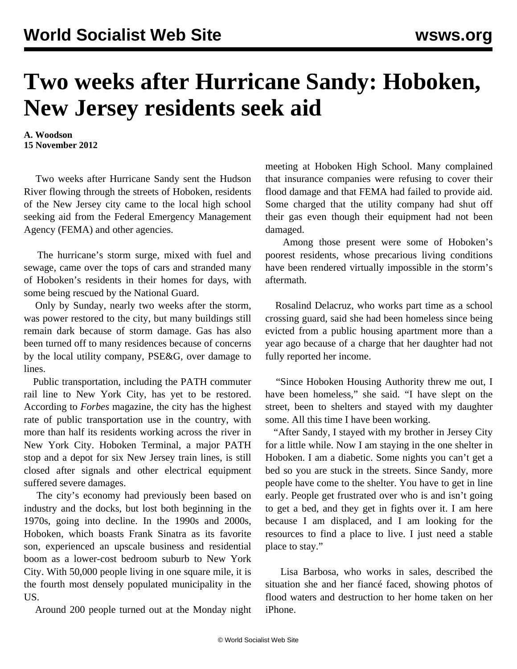## **Two weeks after Hurricane Sandy: Hoboken, New Jersey residents seek aid**

**A. Woodson 15 November 2012**

 Two weeks after Hurricane Sandy sent the Hudson River flowing through the streets of Hoboken, residents of the New Jersey city came to the local high school seeking aid from the Federal Emergency Management Agency (FEMA) and other agencies.

 The hurricane's storm surge, mixed with fuel and sewage, came over the tops of cars and stranded many of Hoboken's residents in their homes for days, with some being rescued by the National Guard.

 Only by Sunday, nearly two weeks after the storm, was power restored to the city, but many buildings still remain dark because of storm damage. Gas has also been turned off to many residences because of concerns by the local utility company, PSE&G, over damage to lines.

 Public transportation, including the PATH commuter rail line to New York City, has yet to be restored. According to *Forbes* magazine, the city has the highest rate of public transportation use in the country, with more than half its residents working across the river in New York City. Hoboken Terminal, a major PATH stop and a depot for six New Jersey train lines, is still closed after signals and other electrical equipment suffered severe damages.

 The city's economy had previously been based on industry and the docks, but lost both beginning in the 1970s, going into decline. In the 1990s and 2000s, Hoboken, which boasts Frank Sinatra as its favorite son, experienced an upscale business and residential boom as a lower-cost bedroom suburb to New York City. With 50,000 people living in one square mile, it is the fourth most densely populated municipality in the US.

Around 200 people turned out at the Monday night

meeting at Hoboken High School. Many complained that insurance companies were refusing to cover their flood damage and that FEMA had failed to provide aid. Some charged that the utility company had shut off their gas even though their equipment had not been damaged.

 Among those present were some of Hoboken's poorest residents, whose precarious living conditions have been rendered virtually impossible in the storm's aftermath.

 Rosalind Delacruz, who works part time as a school crossing guard, said she had been homeless since being evicted from a public housing apartment more than a year ago because of a charge that her daughter had not fully reported her income.

 "Since Hoboken Housing Authority threw me out, I have been homeless," she said. "I have slept on the street, been to shelters and stayed with my daughter some. All this time I have been working.

 "After Sandy, I stayed with my brother in Jersey City for a little while. Now I am staying in the one shelter in Hoboken. I am a diabetic. Some nights you can't get a bed so you are stuck in the streets. Since Sandy, more people have come to the shelter. You have to get in line early. People get frustrated over who is and isn't going to get a bed, and they get in fights over it. I am here because I am displaced, and I am looking for the resources to find a place to live. I just need a stable place to stay."

 Lisa Barbosa, who works in sales, described the situation she and her fiancé faced, showing photos of flood waters and destruction to her home taken on her iPhone.